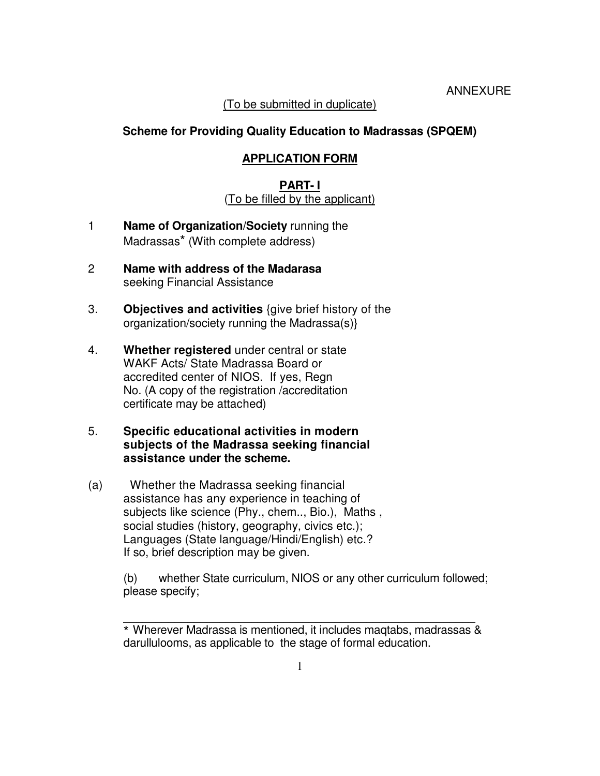### (To be submitted in duplicate)

### **Scheme for Providing Quality Education to Madrassas (SPQEM)**

### **APPLICATION FORM**

### **PART- I** (To be filled by the applicant)

- 1 **Name of Organization/Society** running the Madrassas\* (With complete address)
- 2 **Name with address of the Madarasa** seeking Financial Assistance
- 3. **Objectives and activities** {give brief history of the organization/society running the Madrassa(s)}
- 4. **Whether registered** under central or state WAKF Acts/ State Madrassa Board or accredited center of NIOS. If yes, Regn No. (A copy of the registration /accreditation certificate may be attached)
- 5. **Specific educational activities in modern subjects of the Madrassa seeking financial assistance under the scheme.**
- (a) Whether the Madrassa seeking financial assistance has any experience in teaching of subjects like science (Phy., chem.., Bio.), Maths , social studies (history, geography, civics etc.); Languages (State language/Hindi/English) etc.? If so, brief description may be given.

(b) whether State curriculum, NIOS or any other curriculum followed; please specify;

\_\_\_\_\_\_\_\_\_\_\_\_\_\_\_\_\_\_\_\_\_\_\_\_\_\_\_\_\_\_\_\_\_\_\_\_\_\_\_\_\_\_\_\_\_\_\_\_\_\_\_\_\_\_\_

<sup>\*</sup> Wherever Madrassa is mentioned, it includes maqtabs, madrassas & darullulooms, as applicable to the stage of formal education.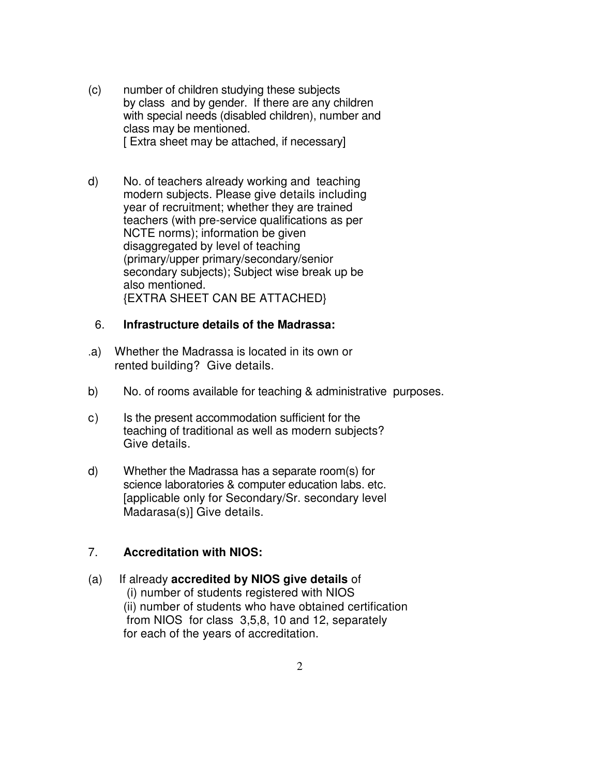- (c) number of children studying these subjects by class and by gender. If there are any children with special needs (disabled children), number and class may be mentioned. [ Extra sheet may be attached, if necessary]
- d) No. of teachers already working and teaching modern subjects. Please give details including year of recruitment; whether they are trained teachers (with pre-service qualifications as per NCTE norms); information be given disaggregated by level of teaching (primary/upper primary/secondary/senior secondary subjects); Subject wise break up be also mentioned. {EXTRA SHEET CAN BE ATTACHED}

#### 6. **Infrastructure details of the Madrassa:**

- .a) Whether the Madrassa is located in its own or rented building? Give details.
- b) No. of rooms available for teaching & administrative purposes.
- c) Is the present accommodation sufficient for the teaching of traditional as well as modern subjects? Give details.
- d) Whether the Madrassa has a separate room(s) for science laboratories & computer education labs. etc. [applicable only for Secondary/Sr. secondary level Madarasa(s)] Give details.

### 7. **Accreditation with NIOS:**

### (a) If already **accredited by NIOS give details** of (i) number of students registered with NIOS (ii) number of students who have obtained certification from NIOS for class 3,5,8, 10 and 12, separately for each of the years of accreditation.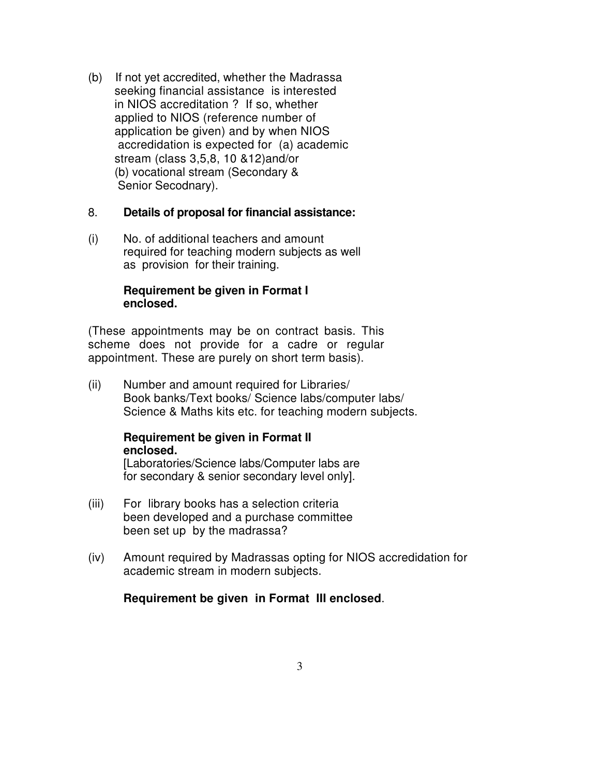(b) If not yet accredited, whether the Madrassa seeking financial assistance is interested in NIOS accreditation ? If so, whether applied to NIOS (reference number of application be given) and by when NIOS accredidation is expected for (a) academic stream (class 3,5,8, 10 &12)and/or (b) vocational stream (Secondary & Senior Secodnary).

### 8. **Details of proposal for financial assistance:**

(i) No. of additional teachers and amount required for teaching modern subjects as well as provision for their training.

### **Requirement be given in Format I enclosed.**

(These appointments may be on contract basis. This scheme does not provide for a cadre or regular appointment. These are purely on short term basis).

(ii) Number and amount required for Libraries/ Book banks/Text books/ Science labs/computer labs/ Science & Maths kits etc. for teaching modern subjects.

### **Requirement be given in Format II enclosed.**

[Laboratories/Science labs/Computer labs are for secondary & senior secondary level only].

- (iii) For library books has a selection criteria been developed and a purchase committee been set up by the madrassa?
- (iv) Amount required by Madrassas opting for NIOS accredidation for academic stream in modern subjects.

### **Requirement be given in Format III enclosed**.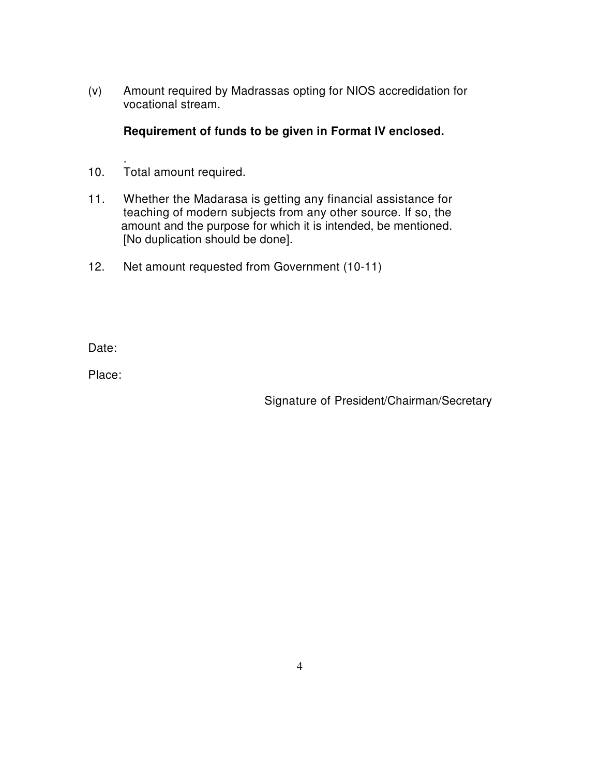(v) Amount required by Madrassas opting for NIOS accredidation for vocational stream.

**Requirement of funds to be given in Format IV enclosed.** 

- . 10. Total amount required.
- 11. Whether the Madarasa is getting any financial assistance for teaching of modern subjects from any other source. If so, the amount and the purpose for which it is intended, be mentioned. [No duplication should be done].
- 12. Net amount requested from Government (10-11)

Date:

Place:

Signature of President/Chairman/Secretary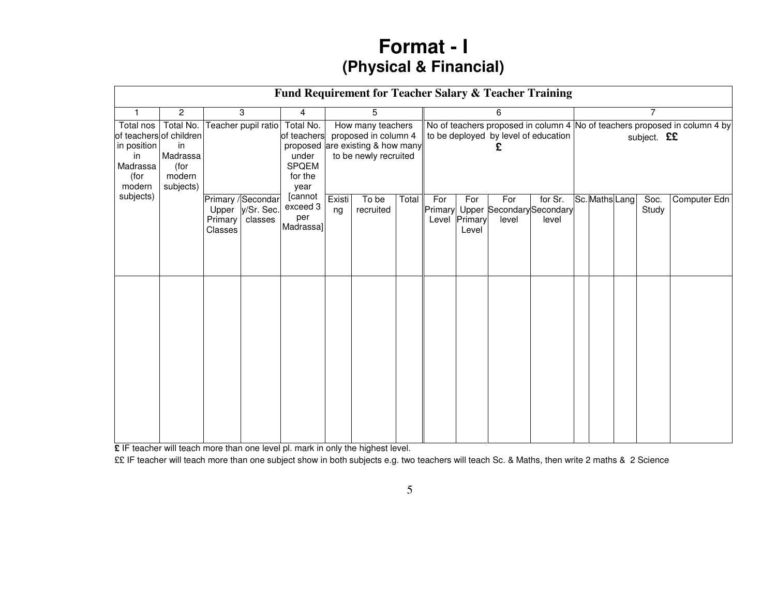# **Format - I(Physical & Financial)**

|                                                              |                                                                                       |                             |                                             |                                                                                                                       |              |                    | Fund Requirement for Teacher Salary & Teacher Training                                                             |                         |                         |              |                                               |   |                    |  |               |              |
|--------------------------------------------------------------|---------------------------------------------------------------------------------------|-----------------------------|---------------------------------------------|-----------------------------------------------------------------------------------------------------------------------|--------------|--------------------|--------------------------------------------------------------------------------------------------------------------|-------------------------|-------------------------|--------------|-----------------------------------------------|---|--------------------|--|---------------|--------------|
|                                                              | $\mathbf{2}$                                                                          |                             | 3                                           | 4                                                                                                                     |              | 5                  |                                                                                                                    |                         |                         | 6            |                                               | 7 |                    |  |               |              |
| Total nos<br>in position<br>in<br>Madrassa<br>(for<br>modern | Total No.<br>of teachers of children<br>in<br>Madrassa<br>(for<br>modern<br>subjects) |                             | Teacher pupil ratio                         | How many teachers<br>proposed in column 4<br>of teachers<br>proposed are existing & how many<br>to be newly recruited |              |                    | No of teachers proposed in column 4 No of teachers proposed in column 4 by<br>to be deployed by level of education |                         |                         |              |                                               |   | subject. <b>££</b> |  |               |              |
| subjects)                                                    |                                                                                       | Upper<br>Primary<br>Classes | Primary / Secondar<br>y/Sr. Sec.<br>classes | [cannot<br>exceed 3<br>per<br>Madrassa]                                                                               | Existi<br>ng | To be<br>recruited | Total                                                                                                              | For<br>Primary<br>Level | For<br>Primary<br>Level | For<br>level | for Sr.<br>Upper Secondary Secondary<br>level |   | Sc. Maths Lang     |  | Soc.<br>Study | Computer Edn |

**£** IF teacher will teach more than one level pl. mark in only the highest level.

££ IF teacher will teach more than one subject show in both subjects e.g. two teachers will teach Sc. & Maths, then write 2 maths & 2 Science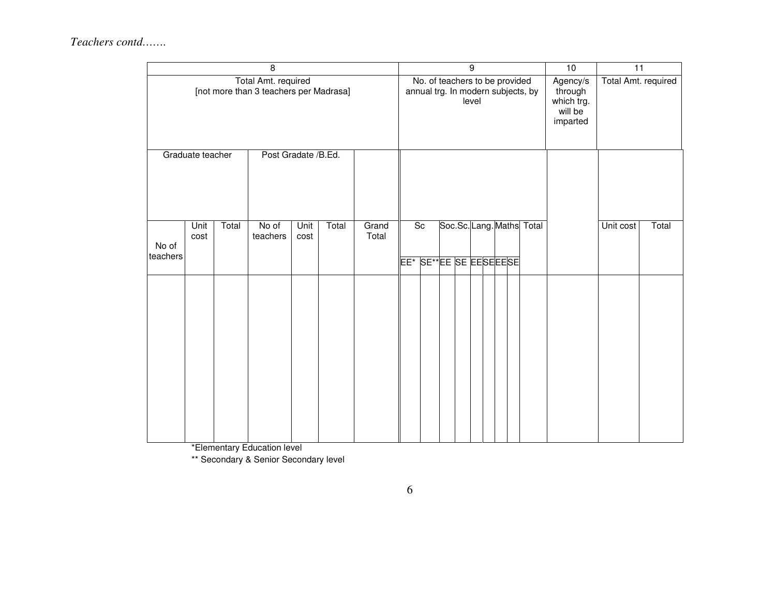|                                                               |              | $\overline{9}$ |                   |              |       |                |           |                                |  | 10 | $\overline{11}$    |  |                           |                                    |                                                          |                     |       |
|---------------------------------------------------------------|--------------|----------------|-------------------|--------------|-------|----------------|-----------|--------------------------------|--|----|--------------------|--|---------------------------|------------------------------------|----------------------------------------------------------|---------------------|-------|
| Total Amt. required<br>[not more than 3 teachers per Madrasa] |              |                |                   |              |       |                |           | No. of teachers to be provided |  |    | level              |  |                           | annual trg. In modern subjects, by | Agency/s<br>through<br>which trg.<br>will be<br>imparted | Total Amt. required |       |
| Post Gradate /B.Ed.<br>Graduate teacher                       |              |                |                   |              |       |                |           |                                |  |    |                    |  |                           |                                    |                                                          |                     |       |
| No of<br>teachers                                             | Unit<br>cost | Total          | No of<br>teachers | Unit<br>cost | Total | Grand<br>Total | Sc<br>EE* |                                |  |    | SE*FEE SE EESEEESE |  | Soc.Sc. Lang. Maths Total |                                    |                                                          | Unit cost           | Total |
|                                                               |              |                |                   |              |       |                |           |                                |  |    |                    |  |                           |                                    |                                                          |                     |       |

\*Elementary Education level

\*\* Secondary & Senior Secondary level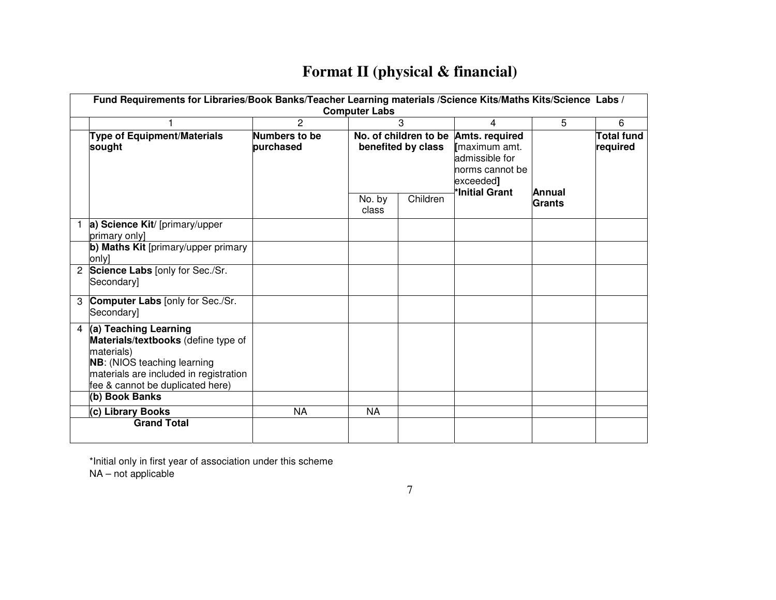## **Format II (physical & financial)**

|                | Fund Requirements for Libraries/Book Banks/Teacher Learning materials /Science Kits/Maths Kits/Science Labs /                                                                                  |               |           |                    |                                      |               |                   |  |  |  |  |  |  |  |  |
|----------------|------------------------------------------------------------------------------------------------------------------------------------------------------------------------------------------------|---------------|-----------|--------------------|--------------------------------------|---------------|-------------------|--|--|--|--|--|--|--|--|
|                | <b>Computer Labs</b>                                                                                                                                                                           |               |           |                    |                                      |               |                   |  |  |  |  |  |  |  |  |
|                |                                                                                                                                                                                                | 2             |           | 3                  | 4                                    | 5             | 6                 |  |  |  |  |  |  |  |  |
|                | <b>Type of Equipment/Materials</b>                                                                                                                                                             | Numbers to be |           |                    | No. of children to be Amts. required |               | <b>Total fund</b> |  |  |  |  |  |  |  |  |
|                | sought                                                                                                                                                                                         | purchased     |           | benefited by class | Imaximum amt.                        |               | required          |  |  |  |  |  |  |  |  |
|                |                                                                                                                                                                                                |               |           |                    | admissible for                       |               |                   |  |  |  |  |  |  |  |  |
|                |                                                                                                                                                                                                |               |           |                    | norms cannot be                      |               |                   |  |  |  |  |  |  |  |  |
|                |                                                                                                                                                                                                |               |           |                    | exceeded]                            |               |                   |  |  |  |  |  |  |  |  |
|                |                                                                                                                                                                                                |               | No. by    | Children           | *Initial Grant                       | Annual        |                   |  |  |  |  |  |  |  |  |
|                |                                                                                                                                                                                                |               | class     |                    |                                      | <b>Grants</b> |                   |  |  |  |  |  |  |  |  |
|                | a) Science Kit/ [primary/upper<br>primary only]                                                                                                                                                |               |           |                    |                                      |               |                   |  |  |  |  |  |  |  |  |
|                | b) Maths Kit [primary/upper primary<br>only]                                                                                                                                                   |               |           |                    |                                      |               |                   |  |  |  |  |  |  |  |  |
| $\overline{2}$ | Science Labs [only for Sec./Sr.<br>Secondaryl                                                                                                                                                  |               |           |                    |                                      |               |                   |  |  |  |  |  |  |  |  |
| 3              | <b>Computer Labs</b> [only for Sec./Sr.<br>Secondary]                                                                                                                                          |               |           |                    |                                      |               |                   |  |  |  |  |  |  |  |  |
| $\overline{4}$ | (a) Teaching Learning<br>Materials/textbooks (define type of<br>materials)<br><b>NB:</b> (NIOS teaching learning<br>materials are included in registration<br>fee & cannot be duplicated here) |               |           |                    |                                      |               |                   |  |  |  |  |  |  |  |  |
|                | (b) Book Banks                                                                                                                                                                                 |               |           |                    |                                      |               |                   |  |  |  |  |  |  |  |  |
|                | (c) Library Books                                                                                                                                                                              | <b>NA</b>     | <b>NA</b> |                    |                                      |               |                   |  |  |  |  |  |  |  |  |
|                | <b>Grand Total</b>                                                                                                                                                                             |               |           |                    |                                      |               |                   |  |  |  |  |  |  |  |  |
|                |                                                                                                                                                                                                |               |           |                    |                                      |               |                   |  |  |  |  |  |  |  |  |

 \*Initial only in first year of association under this scheme NA – not applicable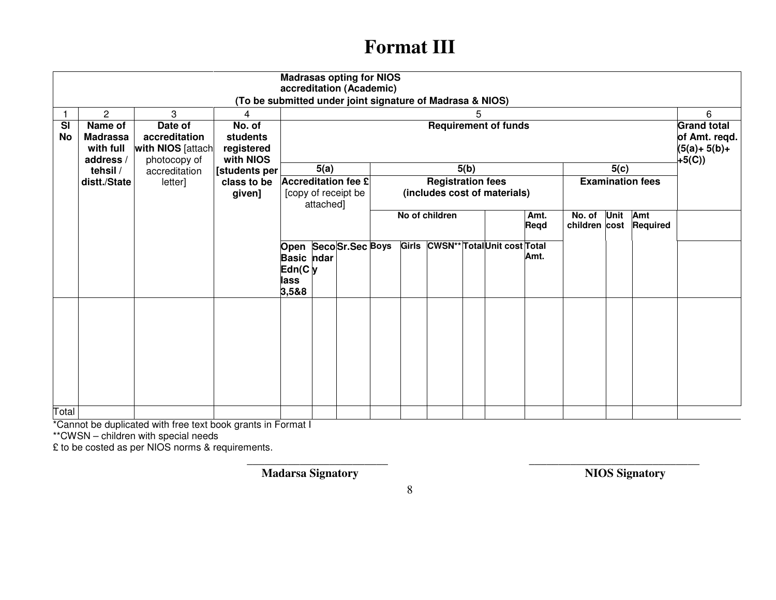# **Format III**

| <b>Madrasas opting for NIOS</b><br>accreditation (Academic)<br>(To be submitted under joint signature of Madrasa & NIOS) |                 |                    |                |                   |           |                            |                                   |  |                          |      |                              |      |               |      |                         |                    |
|--------------------------------------------------------------------------------------------------------------------------|-----------------|--------------------|----------------|-------------------|-----------|----------------------------|-----------------------------------|--|--------------------------|------|------------------------------|------|---------------|------|-------------------------|--------------------|
| 3<br>$\overline{2}$<br>5<br>4                                                                                            |                 |                    |                |                   |           |                            |                                   |  |                          |      |                              |      |               | 6    |                         |                    |
| <b>SI</b>                                                                                                                | Name of         | Date of            | No. of         |                   |           |                            |                                   |  |                          |      | <b>Requirement of funds</b>  |      |               |      |                         | <b>Grand total</b> |
| <b>No</b>                                                                                                                | <b>Madrassa</b> | accreditation      | students       |                   |           |                            |                                   |  |                          |      |                              |      |               |      |                         | of Amt. reqd.      |
|                                                                                                                          | with full       | with NIOS [attach] | registered     |                   |           |                            |                                   |  |                          |      |                              |      |               |      |                         | $(5(a)+5(b)+$      |
|                                                                                                                          | address /       | photocopy of       | with NIOS      |                   |           |                            |                                   |  |                          |      |                              |      |               |      |                         | $+5(C)$            |
|                                                                                                                          | tehsil /        | accreditation      | [students per] |                   | 5(a)      |                            |                                   |  |                          | 5(b) |                              |      |               | 5(c) |                         |                    |
|                                                                                                                          | distt./State    | letter]            | class to be    |                   |           | <b>Accreditation fee £</b> |                                   |  | <b>Registration fees</b> |      | (includes cost of materials) |      |               |      | <b>Examination fees</b> |                    |
|                                                                                                                          |                 |                    | given]         |                   | attached] | [copy of receipt be        |                                   |  |                          |      |                              |      |               |      |                         |                    |
|                                                                                                                          |                 |                    |                |                   |           |                            |                                   |  | No of children           |      |                              | Amt. | No. of Unit   |      | Amt                     |                    |
|                                                                                                                          |                 |                    |                |                   |           |                            | Regd                              |  |                          |      |                              |      | children cost |      | <b>Required</b>         |                    |
|                                                                                                                          |                 |                    |                |                   |           |                            | Girls CWSN** TotalUnit cost Total |  |                          |      |                              |      |               |      |                         |                    |
|                                                                                                                          |                 |                    |                |                   |           | Open SecoSr.Sec Boys       |                                   |  |                          |      |                              | Amt. |               |      |                         |                    |
|                                                                                                                          |                 |                    |                | <b>Basic</b> ndar |           |                            |                                   |  |                          |      |                              |      |               |      |                         |                    |
|                                                                                                                          |                 |                    |                | Edn(C)y<br>lass   |           |                            |                                   |  |                          |      |                              |      |               |      |                         |                    |
|                                                                                                                          |                 |                    |                | 3,5&8             |           |                            |                                   |  |                          |      |                              |      |               |      |                         |                    |
|                                                                                                                          |                 |                    |                |                   |           |                            |                                   |  |                          |      |                              |      |               |      |                         |                    |
|                                                                                                                          |                 |                    |                |                   |           |                            |                                   |  |                          |      |                              |      |               |      |                         |                    |
|                                                                                                                          |                 |                    |                |                   |           |                            |                                   |  |                          |      |                              |      |               |      |                         |                    |
|                                                                                                                          |                 |                    |                |                   |           |                            |                                   |  |                          |      |                              |      |               |      |                         |                    |
|                                                                                                                          |                 |                    |                |                   |           |                            |                                   |  |                          |      |                              |      |               |      |                         |                    |
|                                                                                                                          |                 |                    |                |                   |           |                            |                                   |  |                          |      |                              |      |               |      |                         |                    |
|                                                                                                                          |                 |                    |                |                   |           |                            |                                   |  |                          |      |                              |      |               |      |                         |                    |
|                                                                                                                          |                 |                    |                |                   |           |                            |                                   |  |                          |      |                              |      |               |      |                         |                    |
|                                                                                                                          |                 |                    |                |                   |           |                            |                                   |  |                          |      |                              |      |               |      |                         |                    |
| Total                                                                                                                    |                 |                    |                |                   |           |                            |                                   |  |                          |      |                              |      |               |      |                         |                    |

\*Cannot be duplicated with free text book grants in Format I \*\*CWSN – children with special needs

£ to be costed as per NIOS norms & requirements.

**Madarsa Signatory NIOS Signatory NIOS Signatory** 

\_\_\_\_\_\_\_\_\_\_\_\_\_\_\_\_\_\_\_\_\_\_\_\_ \_\_\_\_\_\_\_\_\_\_\_\_\_\_\_\_\_\_\_\_\_\_\_\_\_\_\_\_\_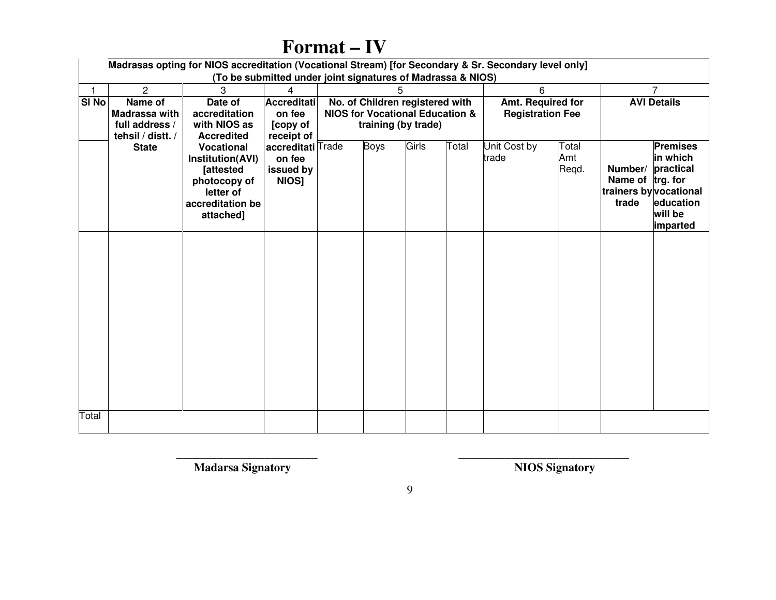|              | Madrasas opting for NIOS accreditation (Vocational Stream) [for Secondary & Sr. Secondary level only]<br>(To be submitted under joint signatures of Madrassa & NIOS) |                                                                                                                         |                                                   |                                                                   |             |                    |       |                       |                       |                                      |                                                                                                        |  |  |  |  |
|--------------|----------------------------------------------------------------------------------------------------------------------------------------------------------------------|-------------------------------------------------------------------------------------------------------------------------|---------------------------------------------------|-------------------------------------------------------------------|-------------|--------------------|-------|-----------------------|-----------------------|--------------------------------------|--------------------------------------------------------------------------------------------------------|--|--|--|--|
|              | $\overline{2}$                                                                                                                                                       | 3                                                                                                                       | $\overline{4}$                                    | 5<br>6<br>No. of Children registered with<br>Amt. Required for    |             |                    |       |                       |                       |                                      |                                                                                                        |  |  |  |  |
| $ S $ No $ $ | Name of<br>Madrassa with<br>full address /<br>tehsil / distt. /                                                                                                      | Date of<br>accreditation<br>with NIOS as<br><b>Accredited</b>                                                           | Accreditati<br>on fee<br>[copy of<br>receipt of   | <b>NIOS for Vocational Education &amp;</b><br>training (by trade) |             | <b>AVI Details</b> |       |                       |                       |                                      |                                                                                                        |  |  |  |  |
|              | <b>State</b>                                                                                                                                                         | <b>Vocational</b><br>Institution(AVI)<br><b>Tattested</b><br>photocopy of<br>letter of<br>accreditation be<br>attached] | accreditati Trade<br>on fee<br>issued by<br>NIOS] |                                                                   | <b>Boys</b> | Girls              | Total | Unit Cost by<br>trade | Total<br>Amt<br>Regd. | Number/<br>Name of trg. for<br>trade | <b>Premises</b><br>in which<br>practical<br>trainers by vocational<br>education<br>will be<br>imparted |  |  |  |  |
|              |                                                                                                                                                                      |                                                                                                                         |                                                   |                                                                   |             |                    |       |                       |                       |                                      |                                                                                                        |  |  |  |  |
| Total        |                                                                                                                                                                      |                                                                                                                         |                                                   |                                                                   |             |                    |       |                       |                       |                                      |                                                                                                        |  |  |  |  |

# **Format – IV**

\_\_\_\_\_\_\_\_\_\_\_\_\_\_\_\_\_\_\_\_\_\_\_\_ \_\_\_\_\_\_\_\_\_\_\_\_\_\_\_\_\_\_\_\_\_\_\_\_\_\_\_\_\_  **Madarsa Signatory NIOS Signatory**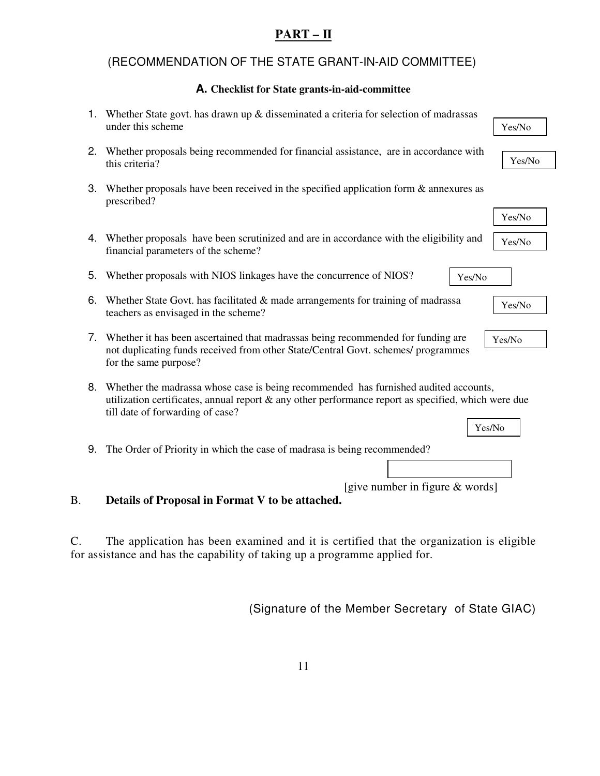### **PART – II**

### (RECOMMENDATION OF THE STATE GRANT-IN-AID COMMITTEE)

### **A. Checklist for State grants-in-aid-committee**

|    | 1. Whether State govt. has drawn up $\&$ disseminated a criteria for selection of madrassas<br>under this scheme<br>Yes/No                                                                                                      |
|----|---------------------------------------------------------------------------------------------------------------------------------------------------------------------------------------------------------------------------------|
|    | 2. Whether proposals being recommended for financial assistance, are in accordance with<br>Yes/No<br>this criteria?                                                                                                             |
| 3. | Whether proposals have been received in the specified application form $\&$ annexures as<br>prescribed?                                                                                                                         |
|    | Yes/No                                                                                                                                                                                                                          |
|    | 4. Whether proposals have been scrutinized and are in accordance with the eligibility and<br>Yes/No<br>financial parameters of the scheme?                                                                                      |
| 5. | Whether proposals with NIOS linkages have the concurrence of NIOS?<br>Yes/No                                                                                                                                                    |
| 6. | Whether State Govt. has facilitated & made arrangements for training of madrassa<br>Yes/No<br>teachers as envisaged in the scheme?                                                                                              |
|    | 7. Whether it has been ascertained that madrassas being recommended for funding are<br>Yes/No<br>not duplicating funds received from other State/Central Govt. schemes/ programmes<br>for the same purpose?                     |
| 8. | Whether the madrassa whose case is being recommended has furnished audited accounts,<br>utilization certificates, annual report & any other performance report as specified, which were due<br>till date of forwarding of case? |
|    | Yes/No                                                                                                                                                                                                                          |
|    | The Order of Priority in which the case of madrasa is being recommended?                                                                                                                                                        |
|    |                                                                                                                                                                                                                                 |
|    | [give number in figure & words]                                                                                                                                                                                                 |
|    | Details of Proposal in Format V to be attached.                                                                                                                                                                                 |
|    |                                                                                                                                                                                                                                 |
|    | The application has been examined and it is certified that the organization is eligible                                                                                                                                         |
|    | 9.                                                                                                                                                                                                                              |

for assistance and has the capability of taking up a programme applied for.

(Signature of the Member Secretary of State GIAC)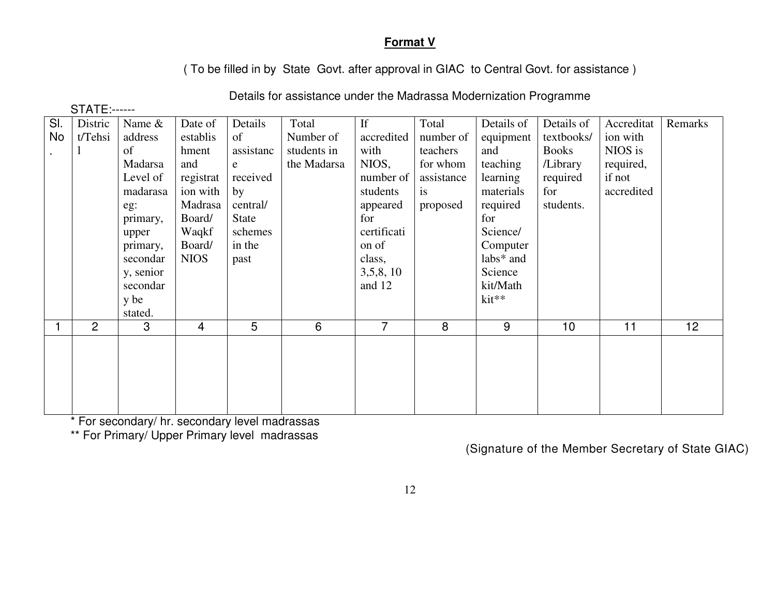### **Format V**

( To be filled in by State Govt. after approval in GIAC to Central Govt. for assistance )

| Distric        | Name &    | Date of             | Details   | Total       | If          | Total          | Details of | Details of   | Accreditat | Remarks         |
|----------------|-----------|---------------------|-----------|-------------|-------------|----------------|------------|--------------|------------|-----------------|
| t/Tehsi        | address   | establis            | of        | Number of   | accredited  | number of      | equipment  | textbooks/   | ion with   |                 |
|                | of        | hment               | assistanc | students in | with        | teachers       | and        | <b>Books</b> | NIOS is    |                 |
|                | Madarsa   | and                 | e         | the Madarsa | NIOS,       | for whom       | teaching   | /Library     | required,  |                 |
|                | Level of  | registrat           | received  |             | number of   | assistance     | learning   | required     | if not     |                 |
|                | madarasa  | ion with            | by        |             | students    | is             | materials  | for          | accredited |                 |
|                | eg:       | Madrasa             | central/  |             | appeared    | proposed       | required   | students.    |            |                 |
|                | primary,  | Board/              | State     |             | for         |                | for        |              |            |                 |
|                | upper     | Waqkf               | schemes   |             | certificati |                | Science/   |              |            |                 |
|                | primary,  | Board/              | in the    |             | on of       |                | Computer   |              |            |                 |
|                | secondar  | <b>NIOS</b>         | past      |             | class,      |                | labs* and  |              |            |                 |
|                | y, senior |                     |           |             | 3,5,8,10    |                | Science    |              |            |                 |
|                | secondar  |                     |           |             | and 12      |                | kit/Math   |              |            |                 |
|                | y be      |                     |           |             |             |                |            |              |            |                 |
|                | stated.   |                     |           |             |             |                |            |              |            |                 |
| $\overline{2}$ | 3         | $\overline{4}$      |           |             |             |                |            |              | 11         | 12 <sub>2</sub> |
|                |           |                     |           |             |             |                |            |              |            |                 |
|                |           |                     |           |             |             |                |            |              |            |                 |
|                |           |                     |           |             |             |                |            |              |            |                 |
|                |           |                     |           |             |             |                |            |              |            |                 |
|                |           |                     |           |             |             |                |            |              |            |                 |
|                |           | <b>STATE:------</b> |           | 5           | 6           | $\overline{7}$ | 8          | $kit**$<br>9 | 10         |                 |

Details for assistance under the Madrassa Modernization Programme

\* For secondary/ hr. secondary level madrassas

\*\* For Primary/ Upper Primary level madrassas

(Signature of the Member Secretary of State GIAC)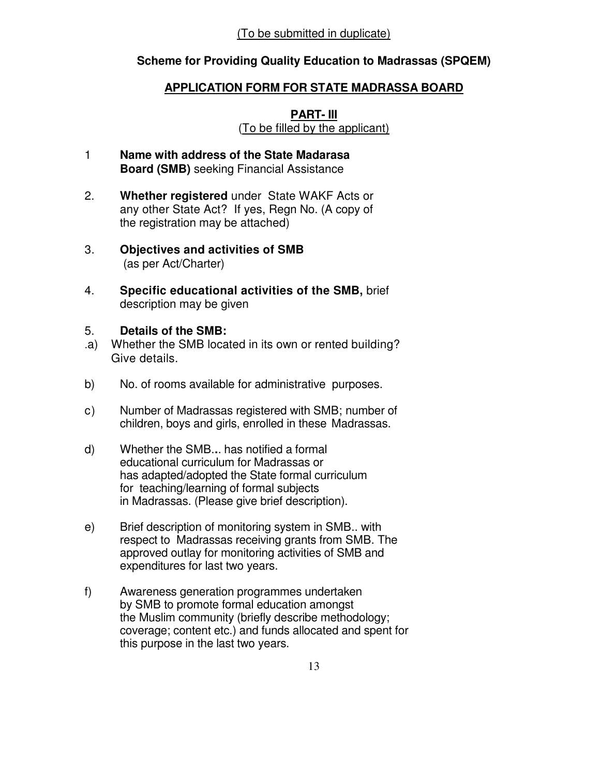### **Scheme for Providing Quality Education to Madrassas (SPQEM)**

### **APPLICATION FORM FOR STATE MADRASSA BOARD**

### **PART- III**

(To be filled by the applicant)

- 1 **Name with address of the State Madarasa Board (SMB)** seeking Financial Assistance
- 2. **Whether registered** under State WAKF Acts or any other State Act? If yes, Regn No. (A copy of the registration may be attached)
- 3. **Objectives and activities of SMB**  (as per Act/Charter)
- 4. **Specific educational activities of the SMB,** brief description may be given

### 5. **Details of the SMB:**

- .a) Whether the SMB located in its own or rented building? Give details.
- b) No. of rooms available for administrative purposes.
- c) Number of Madrassas registered with SMB; number of children, boys and girls, enrolled in these Madrassas.
- d) Whether the SMB.**.**. has notified a formal educational curriculum for Madrassas or has adapted/adopted the State formal curriculum for teaching/learning of formal subjects in Madrassas. (Please give brief description).
- e) Brief description of monitoring system in SMB.. with respect to Madrassas receiving grants from SMB. The approved outlay for monitoring activities of SMB and expenditures for last two years.
- f) Awareness generation programmes undertaken by SMB to promote formal education amongst the Muslim community (briefly describe methodology; coverage; content etc.) and funds allocated and spent for this purpose in the last two years.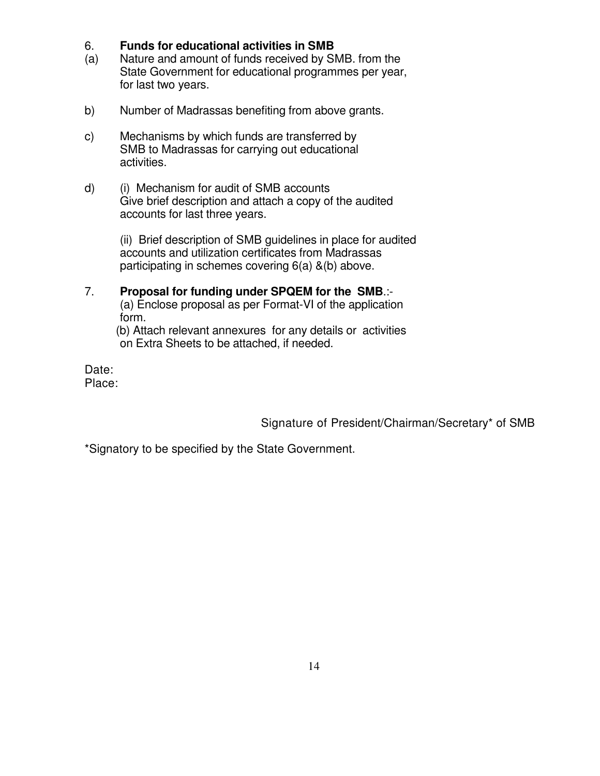### 6. **Funds for educational activities in SMB**

- (a) Nature and amount of funds received by SMB. from the State Government for educational programmes per year, for last two years.
- b) Number of Madrassas benefiting from above grants.
- c) Mechanisms by which funds are transferred by SMB to Madrassas for carrying out educational activities.
- d) (i) Mechanism for audit of SMB accounts Give brief description and attach a copy of the audited accounts for last three years.

 (ii) Brief description of SMB guidelines in place for audited accounts and utilization certificates from Madrassas participating in schemes covering 6(a) &(b) above.

# 7. **Proposal for funding under SPQEM for the SMB**.:-

 (a) Enclose proposal as per Format-VI of the application form.

 (b) Attach relevant annexures for any details or activities on Extra Sheets to be attached, if needed.

Date: Place:

Signature of President/Chairman/Secretary\* of SMB

\*Signatory to be specified by the State Government.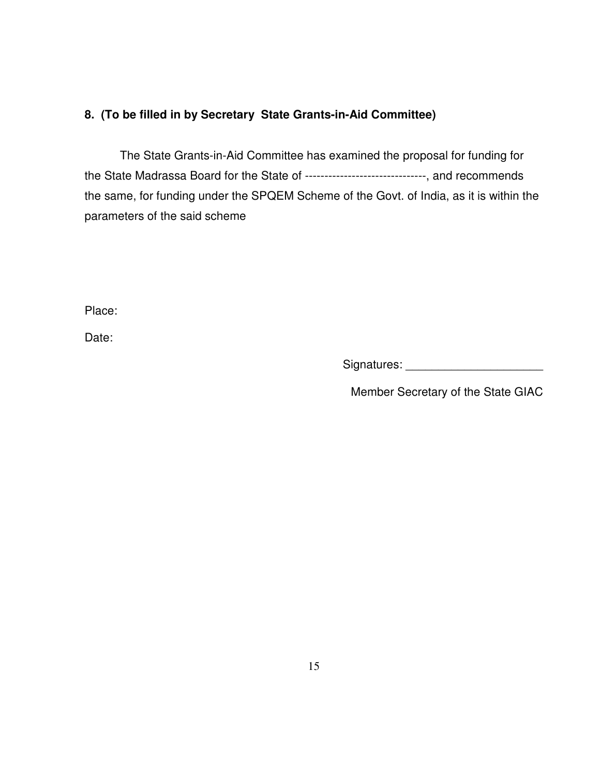### **8. (To be filled in by Secretary State Grants-in-Aid Committee)**

The State Grants-in-Aid Committee has examined the proposal for funding for the State Madrassa Board for the State of -------------------------------, and recommends the same, for funding under the SPQEM Scheme of the Govt. of India, as it is within the parameters of the said scheme

Place:

Date:

Signatures: \_\_\_\_\_\_\_\_\_\_\_\_\_\_\_\_\_\_\_\_\_

Member Secretary of the State GIAC